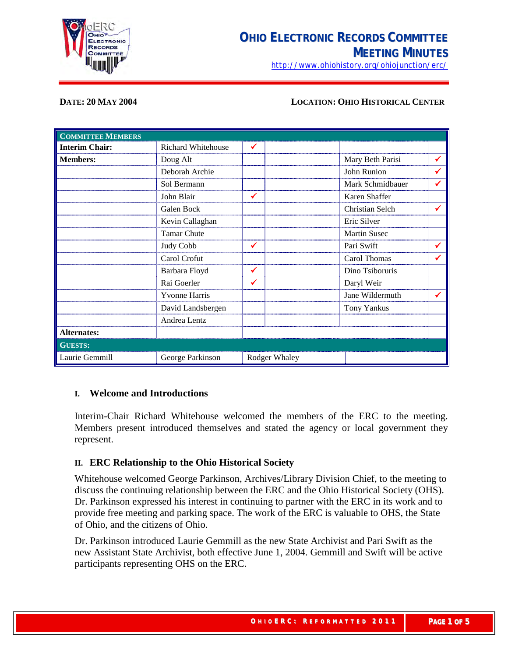

<http://www.ohiohistory.org/ohiojunction/erc/>

#### **DATE: 20 MAY 2004 LOCATION: OHIO HISTORICAL CENTER**

| <b>COMMITTEE MEMBERS</b> |                           |               |                  |              |
|--------------------------|---------------------------|---------------|------------------|--------------|
| <b>Interim Chair:</b>    | <b>Richard Whitehouse</b> | ✔             |                  |              |
| <b>Members:</b>          | Doug Alt                  |               | Mary Beth Parisi | $\checkmark$ |
|                          | Deborah Archie            |               | John Runion      | ✔            |
|                          | Sol Bermann               |               | Mark Schmidbauer | ✔            |
|                          | John Blair                | ✔             | Karen Shaffer    |              |
|                          | Galen Bock                |               | Christian Selch  | $\checkmark$ |
|                          | Kevin Callaghan           |               | Eric Silver      |              |
|                          | <b>Tamar Chute</b>        |               | Martin Susec     |              |
|                          | Judy Cobb                 | ✔             | Pari Swift       | $\checkmark$ |
|                          | Carol Crofut              |               | Carol Thomas     | ✔            |
|                          | Barbara Floyd             |               | Dino Tsiboruris  |              |
|                          | Rai Goerler               | ✔             | Daryl Weir       |              |
|                          | Yvonne Harris             |               | Jane Wildermuth  | ✔            |
|                          | David Landsbergen         |               | Tony Yankus      |              |
|                          | Andrea Lentz              |               |                  |              |
| <b>Alternates:</b>       |                           |               |                  |              |
| <b>GUESTS:</b>           |                           |               |                  |              |
| Laurie Gemmill           | George Parkinson          | Rodger Whaley |                  |              |

### **I. Welcome and Introductions**

Interim-Chair Richard Whitehouse welcomed the members of the ERC to the meeting. Members present introduced themselves and stated the agency or local government they represent.

## **II. ERC Relationship to the Ohio Historical Society**

Whitehouse welcomed George Parkinson, Archives/Library Division Chief, to the meeting to discuss the continuing relationship between the ERC and the Ohio Historical Society (OHS). Dr. Parkinson expressed his interest in continuing to partner with the ERC in its work and to provide free meeting and parking space. The work of the ERC is valuable to OHS, the State of Ohio, and the citizens of Ohio.

Dr. Parkinson introduced Laurie Gemmill as the new State Archivist and Pari Swift as the new Assistant State Archivist, both effective June 1, 2004. Gemmill and Swift will be active participants representing OHS on the ERC.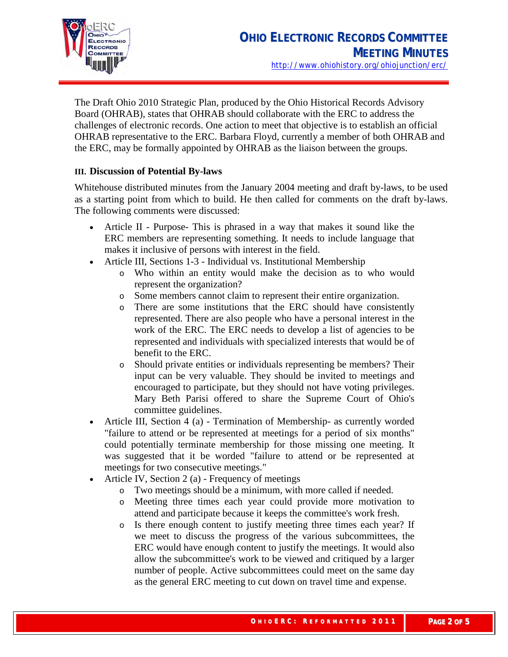

The Draft Ohio 2010 Strategic Plan, produced by the Ohio Historical Records Advisory Board (OHRAB), states that OHRAB should collaborate with the ERC to address the challenges of electronic records. One action to meet that objective is to establish an official OHRAB representative to the ERC. Barbara Floyd, currently a member of both OHRAB and the ERC, may be formally appointed by OHRAB as the liaison between the groups.

# **III. Discussion of Potential By-laws**

Whitehouse distributed minutes from the January 2004 meeting and draft by-laws, to be used as a starting point from which to build. He then called for comments on the draft by-laws. The following comments were discussed:

- Article II Purpose- This is phrased in a way that makes it sound like the ERC members are representing something. It needs to include language that makes it inclusive of persons with interest in the field.
- Article III, Sections 1-3 Individual vs. Institutional Membership
	- o Who within an entity would make the decision as to who would represent the organization?
	- o Some members cannot claim to represent their entire organization.
	- o There are some institutions that the ERC should have consistently represented. There are also people who have a personal interest in the work of the ERC. The ERC needs to develop a list of agencies to be represented and individuals with specialized interests that would be of benefit to the ERC.
	- o Should private entities or individuals representing be members? Their input can be very valuable. They should be invited to meetings and encouraged to participate, but they should not have voting privileges. Mary Beth Parisi offered to share the Supreme Court of Ohio's committee guidelines.
- Article III, Section 4 (a) Termination of Membership- as currently worded "failure to attend or be represented at meetings for a period of six months" could potentially terminate membership for those missing one meeting. It was suggested that it be worded "failure to attend or be represented at meetings for two consecutive meetings."
- Article IV, Section 2 (a) Frequency of meetings
	- o Two meetings should be a minimum, with more called if needed.
	- o Meeting three times each year could provide more motivation to attend and participate because it keeps the committee's work fresh.
	- o Is there enough content to justify meeting three times each year? If we meet to discuss the progress of the various subcommittees, the ERC would have enough content to justify the meetings. It would also allow the subcommittee's work to be viewed and critiqued by a larger number of people. Active subcommittees could meet on the same day as the general ERC meeting to cut down on travel time and expense.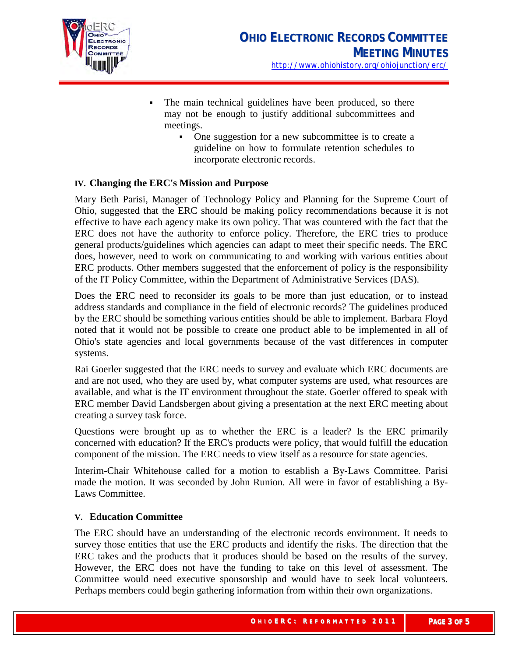

- The main technical guidelines have been produced, so there may not be enough to justify additional subcommittees and meetings.
	- One suggestion for a new subcommittee is to create a guideline on how to formulate retention schedules to incorporate electronic records.

## **IV. Changing the ERC's Mission and Purpose**

Mary Beth Parisi, Manager of Technology Policy and Planning for the Supreme Court of Ohio, suggested that the ERC should be making policy recommendations because it is not effective to have each agency make its own policy. That was countered with the fact that the ERC does not have the authority to enforce policy. Therefore, the ERC tries to produce general products/guidelines which agencies can adapt to meet their specific needs. The ERC does, however, need to work on communicating to and working with various entities about ERC products. Other members suggested that the enforcement of policy is the responsibility of the IT Policy Committee, within the Department of Administrative Services (DAS).

Does the ERC need to reconsider its goals to be more than just education, or to instead address standards and compliance in the field of electronic records? The guidelines produced by the ERC should be something various entities should be able to implement. Barbara Floyd noted that it would not be possible to create one product able to be implemented in all of Ohio's state agencies and local governments because of the vast differences in computer systems.

Rai Goerler suggested that the ERC needs to survey and evaluate which ERC documents are and are not used, who they are used by, what computer systems are used, what resources are available, and what is the IT environment throughout the state. Goerler offered to speak with ERC member David Landsbergen about giving a presentation at the next ERC meeting about creating a survey task force.

Questions were brought up as to whether the ERC is a leader? Is the ERC primarily concerned with education? If the ERC's products were policy, that would fulfill the education component of the mission. The ERC needs to view itself as a resource for state agencies.

Interim-Chair Whitehouse called for a motion to establish a By-Laws Committee. Parisi made the motion. It was seconded by John Runion. All were in favor of establishing a By-Laws Committee.

#### **V. Education Committee**

The ERC should have an understanding of the electronic records environment. It needs to survey those entities that use the ERC products and identify the risks. The direction that the ERC takes and the products that it produces should be based on the results of the survey. However, the ERC does not have the funding to take on this level of assessment. The Committee would need executive sponsorship and would have to seek local volunteers. Perhaps members could begin gathering information from within their own organizations.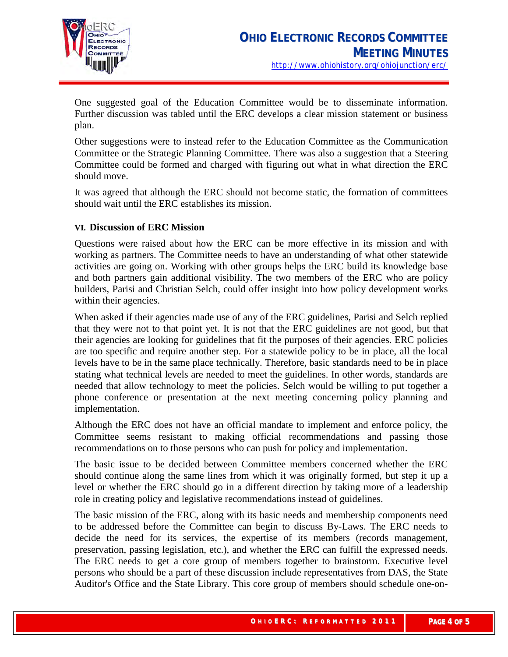

One suggested goal of the Education Committee would be to disseminate information. Further discussion was tabled until the ERC develops a clear mission statement or business plan.

Other suggestions were to instead refer to the Education Committee as the Communication Committee or the Strategic Planning Committee. There was also a suggestion that a Steering Committee could be formed and charged with figuring out what in what direction the ERC should move.

It was agreed that although the ERC should not become static, the formation of committees should wait until the ERC establishes its mission.

## **VI. Discussion of ERC Mission**

Questions were raised about how the ERC can be more effective in its mission and with working as partners. The Committee needs to have an understanding of what other statewide activities are going on. Working with other groups helps the ERC build its knowledge base and both partners gain additional visibility. The two members of the ERC who are policy builders, Parisi and Christian Selch, could offer insight into how policy development works within their agencies.

When asked if their agencies made use of any of the ERC guidelines, Parisi and Selch replied that they were not to that point yet. It is not that the ERC guidelines are not good, but that their agencies are looking for guidelines that fit the purposes of their agencies. ERC policies are too specific and require another step. For a statewide policy to be in place, all the local levels have to be in the same place technically. Therefore, basic standards need to be in place stating what technical levels are needed to meet the guidelines. In other words, standards are needed that allow technology to meet the policies. Selch would be willing to put together a phone conference or presentation at the next meeting concerning policy planning and implementation.

Although the ERC does not have an official mandate to implement and enforce policy, the Committee seems resistant to making official recommendations and passing those recommendations on to those persons who can push for policy and implementation.

The basic issue to be decided between Committee members concerned whether the ERC should continue along the same lines from which it was originally formed, but step it up a level or whether the ERC should go in a different direction by taking more of a leadership role in creating policy and legislative recommendations instead of guidelines.

The basic mission of the ERC, along with its basic needs and membership components need to be addressed before the Committee can begin to discuss By-Laws. The ERC needs to decide the need for its services, the expertise of its members (records management, preservation, passing legislation, etc.), and whether the ERC can fulfill the expressed needs. The ERC needs to get a core group of members together to brainstorm. Executive level persons who should be a part of these discussion include representatives from DAS, the State Auditor's Office and the State Library. This core group of members should schedule one-on-